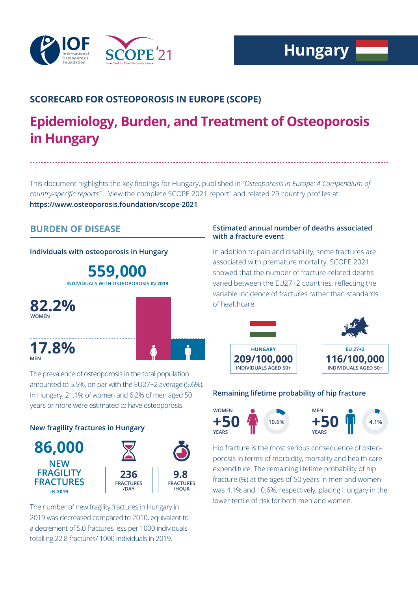

# **SCORECARD FOR OSTEOPOROSIS IN EUROPE (SCOPE)**

# **Epidemiology, Burden, and Treatment of Osteoporosis in Hungary**

This document highlights the key findings for Hungary, published in "*Osteoporosis in Europe: A Compendium of*  country-specific reports<sup>"</sup>. View the complete SCOPE 2021 report<sup>2</sup> and related 29 country profiles at: **https://www.osteoporosis.foundation/scope-2021**

# **BURDEN OF DISEASE**

# **Individuals with osteoporosis in Hungary**

**559,000 INDIVIDUALS WITH OSTEOPOROSIS IN 2019**



The prevalence of osteoporosis in the total population amounted to 5.5%, on par with the EU27+2 average (5.6%). In Hungary, 21.1% of women and 6.2% of men aged 50 years or more were estimated to have osteoporosis.

# **New fragility fractures in Hungary**



The number of new fragility fractures in Hungary in 2019 was decreased compared to 2010, equivalent to a decrement of 5.0 fractures less per 1000 individuals, totalling 22.8 fractures/ 1000 individuals in 2019.

# **Estimated annual number of deaths associated with a fracture event**

In addition to pain and disability, some fractures are associated with premature mortality. SCOPE 2021 showed that the number of fracture-related deaths varied between the EU27+2 countries, reflecting the variable incidence of fractures rather than standards of healthcare.



# **Remaining lifetime probability of hip fracture**



Hip fracture is the most serious consequence of osteoporosis in terms of morbidity, mortality and health care expenditure. The remaining lifetime probability of hip fracture (%) at the ages of 50 years in men and women was 4.1% and 10.6%, respectively, placing Hungary in the lower tertile of risk for both men and women.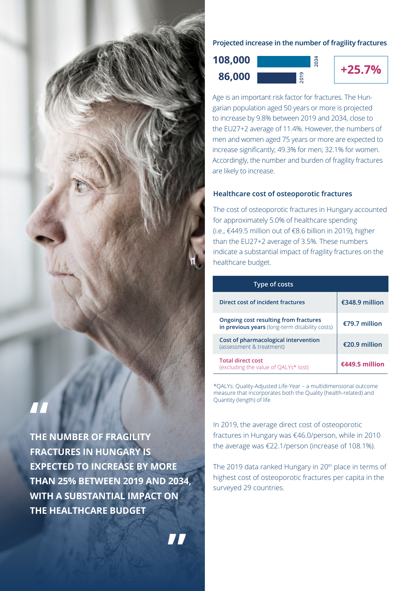

**THE NUMBER OF FRAGILITY FRACTURES IN HUNGARY IS EXPECTED TO INCREASE BY MORE THAN 25% BETWEEN 2019 AND 2034, WITH A SUBSTANTIAL IMPACT ON THE HEALTHCARE BUDGET**

**"**

# **Projected increase in the number of fragility fractures**

**2034**





Age is an important risk factor for fractures. The Hungarian population aged 50 years or more is projected to increase by 9.8% between 2019 and 2034, close to the EU27+2 average of 11.4%. However, the numbers of men and women aged 75 years or more are expected to increase significantly; 49.3% for men; 32.1% for women. Accordingly, the number and burden of fragility fractures are likely to increase.

## **Healthcare cost of osteoporotic fractures**

The cost of osteoporotic fractures in Hungary accounted for approximately 5.0% of healthcare spending (i.e., €449.5 million out of €8.6 billion in 2019), higher than the EU27+2 average of 3.5%. These numbers indicate a substantial impact of fragility fractures on the healthcare budget.

| Type of costs                                                                           |                |
|-----------------------------------------------------------------------------------------|----------------|
| Direct cost of incident fractures                                                       | €348.9 million |
| Ongoing cost resulting from fractures<br>in previous years (long-term disability costs) | €79.7 million  |
| Cost of pharmacological intervention<br>(assessment & treatment)                        | €20.9 million  |
| <b>Total direct cost</b><br>(excluding the value of OALYs* lost)                        | €449.5 million |

\*QALYs: Quality-Adjusted Life-Year – a multidimensional outcome measure that incorporates both the Quality (health-related) and Quantity (length) of life

In 2019, the average direct cost of osteoporotic fractures in Hungary was €46.0/person, while in 2010 the average was €22.1/person (increase of 108.1%).

The 2019 data ranked Hungary in 20<sup>th</sup> place in terms of highest cost of osteoporotic fractures per capita in the surveyed 29 countries.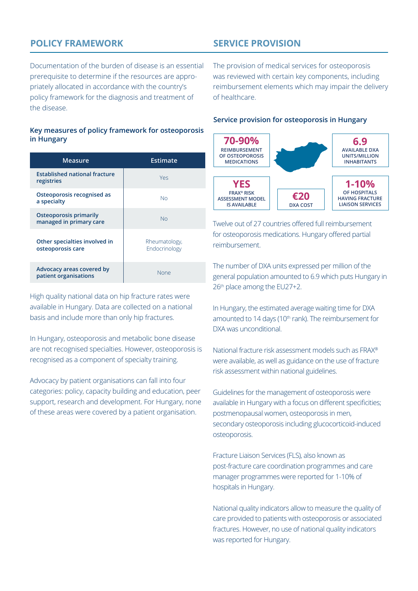# **POLICY FRAMEWORK**

# **SERVICE PROVISION**

Documentation of the burden of disease is an essential prerequisite to determine if the resources are appropriately allocated in accordance with the country's policy framework for the diagnosis and treatment of the disease.

#### **Key measures of policy framework for osteoporosis in Hungary**

| Measure                                                  | Estimate                       |
|----------------------------------------------------------|--------------------------------|
| <b>Established national fracture</b><br>registries       | Yes                            |
| Osteoporosis recognised as<br>a specialty                | <b>No</b>                      |
| <b>Osteoporosis primarily</b><br>managed in primary care | Nο                             |
| Other specialties involved in<br>osteoporosis care       | Rheumatology,<br>Endocrinology |
| Advocacy areas covered by<br>patient organisations       | None                           |

High quality national data on hip fracture rates were available in Hungary. Data are collected on a national basis and include more than only hip fractures.

In Hungary, osteoporosis and metabolic bone disease are not recognised specialties. However, osteoporosis is recognised as a component of specialty training.

Advocacy by patient organisations can fall into four categories: policy, capacity building and education, peer support, research and development. For Hungary, none of these areas were covered by a patient organisation.

The provision of medical services for osteoporosis was reviewed with certain key components, including reimbursement elements which may impair the delivery of healthcare.

#### **Service provision for osteoporosis in Hungary**



Twelve out of 27 countries offered full reimbursement for osteoporosis medications. Hungary offered partial reimbursement.

The number of DXA units expressed per million of the general population amounted to 6.9 which puts Hungary in 26th place among the EU27+2.

In Hungary, the estimated average waiting time for DXA amounted to 14 days (10<sup>th</sup> rank). The reimbursement for DXA was unconditional.

National fracture risk assessment models such as FRAX® were available, as well as guidance on the use of fracture risk assessment within national guidelines.

Guidelines for the management of osteoporosis were available in Hungary with a focus on different specificities; postmenopausal women, osteoporosis in men, secondary osteoporosis including glucocorticoid-induced osteoporosis.

Fracture Liaison Services (FLS), also known as post-fracture care coordination programmes and care manager programmes were reported for 1-10% of hospitals in Hungary.

National quality indicators allow to measure the quality of care provided to patients with osteoporosis or associated fractures. However, no use of national quality indicators was reported for Hungary.